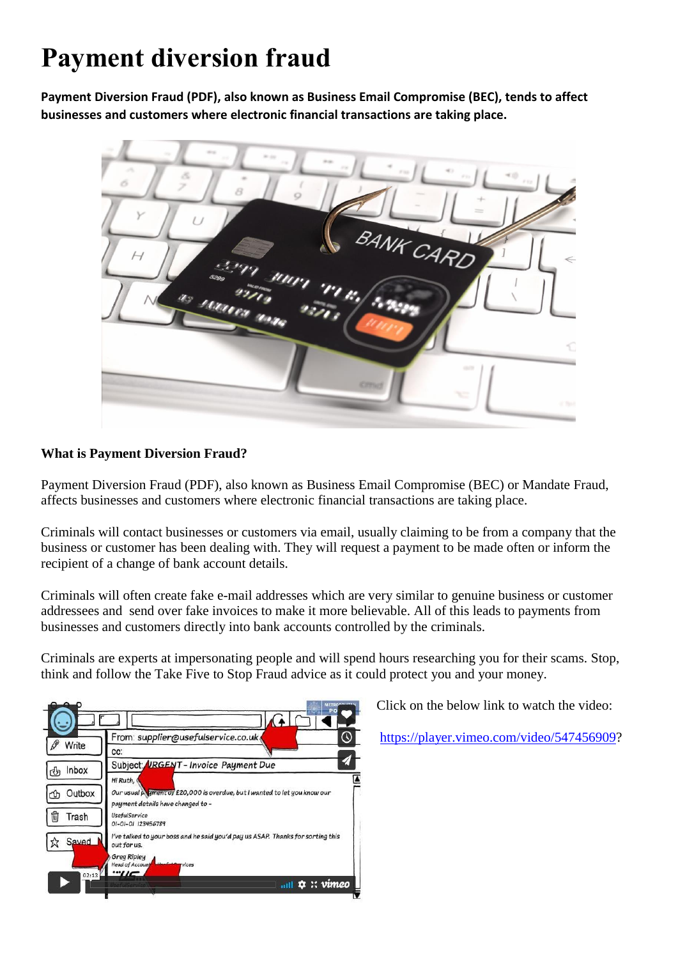# **Payment diversion fraud**

**Payment Diversion Fraud (PDF), also known as Business Email Compromise (BEC), tends to affect businesses and customers where electronic financial transactions are taking place.**



## **What is Payment Diversion Fraud?**

Payment Diversion Fraud (PDF), also known as Business Email Compromise (BEC) or Mandate Fraud, affects businesses and customers where electronic financial transactions are taking place.

Criminals will contact businesses or customers via email, usually claiming to be from a company that the business or customer has been dealing with. They will request a payment to be made often or inform the recipient of a change of bank account details.

Criminals will often create fake e-mail addresses which are very similar to genuine business or customer addressees and send over fake invoices to make it more believable. All of this leads to payments from businesses and customers directly into bank accounts controlled by the criminals.

Criminals are experts at impersonating people and will spend hours researching you for their scams. Stop, think and follow the Take Five to Stop Fraud advice as it could protect you and your money.



Click on the below link to watch the video:

[https://player.vimeo.com/video/547456909?](https://player.vimeo.com/video/547456909)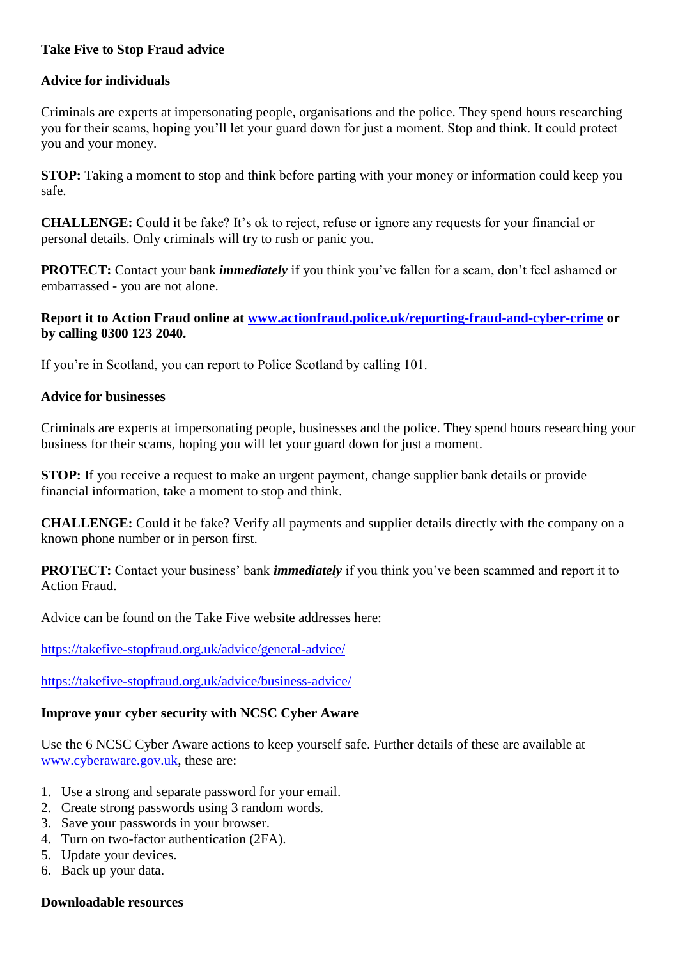## **Take Five to Stop Fraud advice**

## **Advice for individuals**

Criminals are experts at impersonating people, organisations and the police. They spend hours researching you for their scams, hoping you'll let your guard down for just a moment. Stop and think. It could protect you and your money.

**STOP:** Taking a moment to stop and think before parting with your money or information could keep you safe.

**CHALLENGE:** Could it be fake? It's ok to reject, refuse or ignore any requests for your financial or personal details. Only criminals will try to rush or panic you.

**PROTECT:** Contact your bank *immediately* if you think you've fallen for a scam, don't feel ashamed or embarrassed - you are not alone.

## **Report it to Action Fraud online at [www.actionfraud.police.uk/reporting-fraud-and-cyber-crime](https://www.actionfraud.police.uk/reporting-fraud-and-cyber-crime) or by calling 0300 123 2040.**

If you're in Scotland, you can report to Police Scotland by calling 101.

#### **Advice for businesses**

Criminals are experts at impersonating people, businesses and the police. They spend hours researching your business for their scams, hoping you will let your guard down for just a moment.

**STOP:** If you receive a request to make an urgent payment, change supplier bank details or provide financial information, take a moment to stop and think.

**CHALLENGE:** Could it be fake? Verify all payments and supplier details directly with the company on a known phone number or in person first.

**PROTECT:** Contact your business' bank *immediately* if you think you've been scammed and report it to Action Fraud.

Advice can be found on the Take Five website addresses here:

<https://takefive-stopfraud.org.uk/advice/general-advice/>

<https://takefive-stopfraud.org.uk/advice/business-advice/>

#### **Improve your cyber security with NCSC Cyber Aware**

Use the 6 NCSC Cyber Aware actions to keep yourself safe. Further details of these are available at [www.cyberaware.gov.uk,](http://www.cyberaware.gov.uk/) these are:

- 1. Use a strong and separate password for your email.
- 2. Create strong passwords using 3 random words.
- 3. Save your passwords in your browser.
- 4. Turn on two-factor authentication (2FA).
- 5. Update your devices.
- 6. Back up your data.

#### **Downloadable resources**